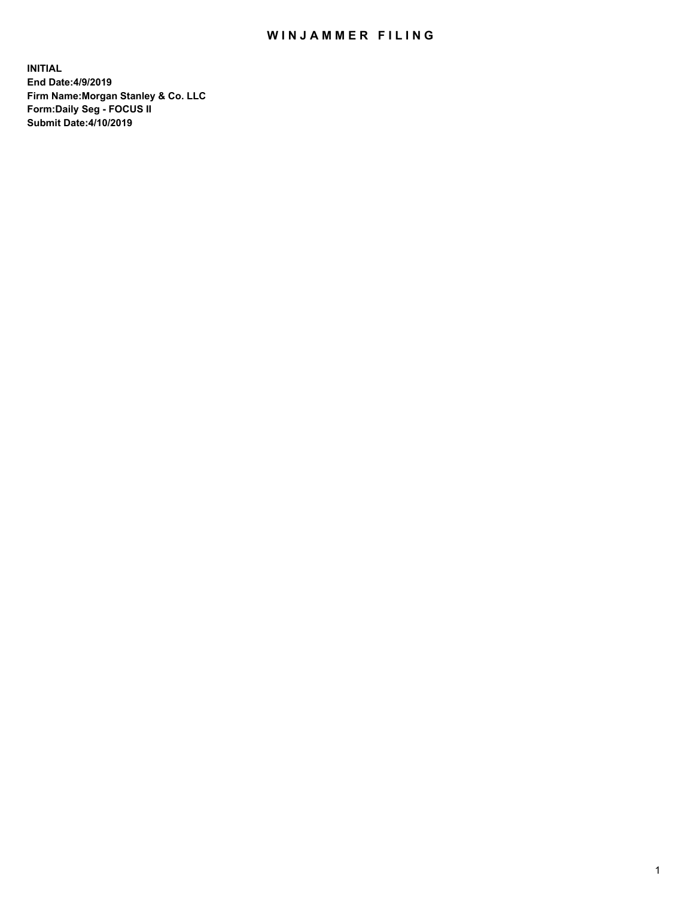## WIN JAMMER FILING

**INITIAL End Date:4/9/2019 Firm Name:Morgan Stanley & Co. LLC Form:Daily Seg - FOCUS II Submit Date:4/10/2019**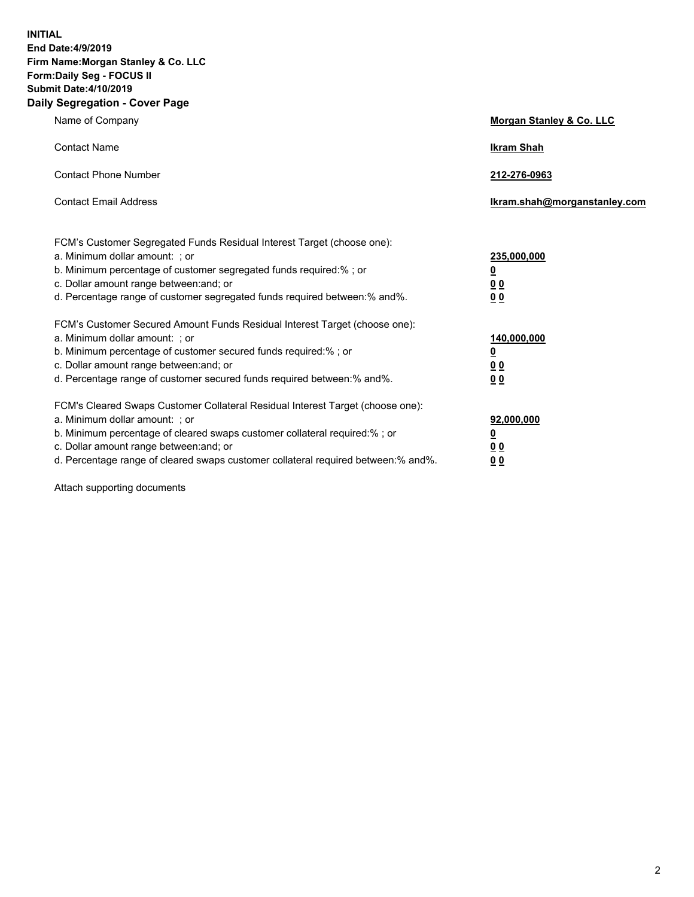**INITIAL End Date:4/9/2019 Firm Name:Morgan Stanley & Co. LLC Form:Daily Seg - FOCUS II Submit Date:4/10/2019 Daily Segregation - Cover Page**

| Name of Company                                                                                                                                                                                                                                                                                                                | Morgan Stanley & Co. LLC                               |
|--------------------------------------------------------------------------------------------------------------------------------------------------------------------------------------------------------------------------------------------------------------------------------------------------------------------------------|--------------------------------------------------------|
| <b>Contact Name</b>                                                                                                                                                                                                                                                                                                            | <b>Ikram Shah</b>                                      |
| <b>Contact Phone Number</b>                                                                                                                                                                                                                                                                                                    | 212-276-0963                                           |
| <b>Contact Email Address</b>                                                                                                                                                                                                                                                                                                   | Ikram.shah@morganstanley.com                           |
| FCM's Customer Segregated Funds Residual Interest Target (choose one):<br>a. Minimum dollar amount: ; or<br>b. Minimum percentage of customer segregated funds required:% ; or<br>c. Dollar amount range between: and; or<br>d. Percentage range of customer segregated funds required between:% and%.                         | 235,000,000<br><u>0</u><br>0 <sup>0</sup><br><u>00</u> |
| FCM's Customer Secured Amount Funds Residual Interest Target (choose one):<br>a. Minimum dollar amount: ; or<br>b. Minimum percentage of customer secured funds required:%; or<br>c. Dollar amount range between: and; or<br>d. Percentage range of customer secured funds required between:% and%.                            | 140,000,000<br><u>0</u><br>0 Q<br>0 <sup>0</sup>       |
| FCM's Cleared Swaps Customer Collateral Residual Interest Target (choose one):<br>a. Minimum dollar amount: ; or<br>b. Minimum percentage of cleared swaps customer collateral required:% ; or<br>c. Dollar amount range between: and; or<br>d. Percentage range of cleared swaps customer collateral required between:% and%. | 92,000,000<br><u>0</u><br><u>00</u><br>00              |

Attach supporting documents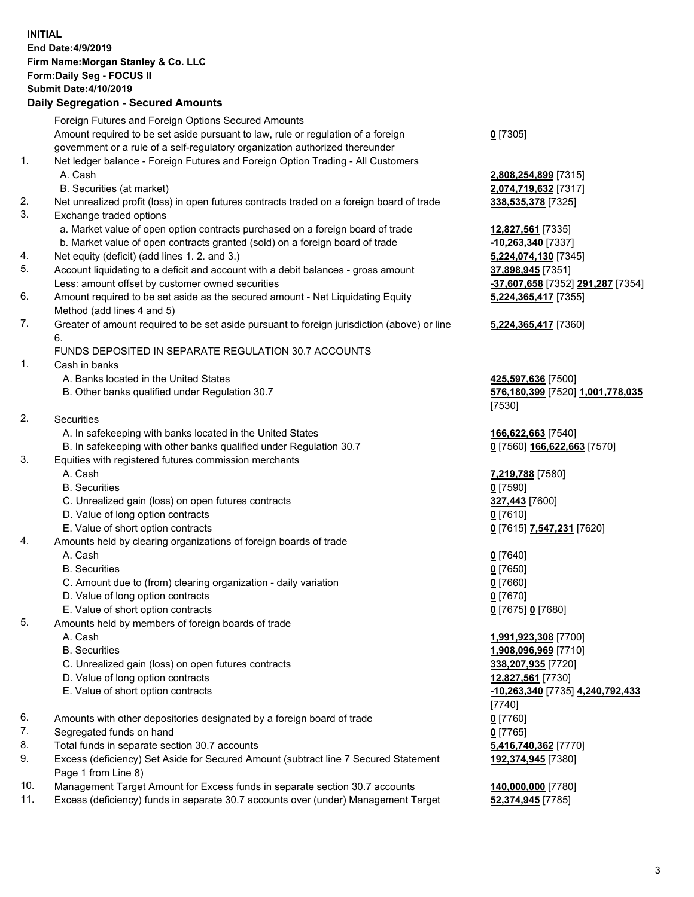## **INITIAL End Date:4/9/2019 Firm Name:Morgan Stanley & Co. LLC Form:Daily Seg - FOCUS II Submit Date:4/10/2019**

## **Daily Segregation - Secured Amounts**

|          | Foreign Futures and Foreign Options Secured Amounts                                         |                                   |
|----------|---------------------------------------------------------------------------------------------|-----------------------------------|
|          | Amount required to be set aside pursuant to law, rule or regulation of a foreign            | $0$ [7305]                        |
|          | government or a rule of a self-regulatory organization authorized thereunder                |                                   |
| 1.       | Net ledger balance - Foreign Futures and Foreign Option Trading - All Customers             |                                   |
|          | A. Cash                                                                                     | 2,808,254,899 [7315]              |
|          | B. Securities (at market)                                                                   | 2,074,719,632 [7317]              |
| 2.       | Net unrealized profit (loss) in open futures contracts traded on a foreign board of trade   | 338,535,378 [7325]                |
| 3.       | Exchange traded options                                                                     |                                   |
|          | a. Market value of open option contracts purchased on a foreign board of trade              | 12,827,561 [7335]                 |
|          | b. Market value of open contracts granted (sold) on a foreign board of trade                | $-10,263,340$ [7337]              |
| 4.       | Net equity (deficit) (add lines 1.2. and 3.)                                                | 5,224,074,130 [7345]              |
| 5.       | Account liquidating to a deficit and account with a debit balances - gross amount           | 37,898,945 [7351]                 |
|          | Less: amount offset by customer owned securities                                            | -37,607,658 [7352] 291,287 [7354] |
| 6.       | Amount required to be set aside as the secured amount - Net Liquidating Equity              | 5,224,365,417 [7355]              |
|          | Method (add lines 4 and 5)                                                                  |                                   |
| 7.       | Greater of amount required to be set aside pursuant to foreign jurisdiction (above) or line | 5,224,365,417 [7360]              |
|          | 6.                                                                                          |                                   |
|          | FUNDS DEPOSITED IN SEPARATE REGULATION 30.7 ACCOUNTS                                        |                                   |
| 1.       | Cash in banks                                                                               |                                   |
|          | A. Banks located in the United States                                                       | 425,597,636 [7500]                |
|          | B. Other banks qualified under Regulation 30.7                                              | 576,180,399 [7520] 1,001,778,035  |
|          |                                                                                             | [7530]                            |
| 2.       | Securities                                                                                  |                                   |
|          | A. In safekeeping with banks located in the United States                                   | 166,622,663 [7540]                |
|          | B. In safekeeping with other banks qualified under Regulation 30.7                          | 0 [7560] 166,622,663 [7570]       |
| 3.       | Equities with registered futures commission merchants                                       |                                   |
|          | A. Cash                                                                                     | 7,219,788 [7580]                  |
|          | <b>B.</b> Securities                                                                        | $0$ [7590]                        |
|          | C. Unrealized gain (loss) on open futures contracts                                         | 327,443 [7600]                    |
|          | D. Value of long option contracts                                                           | $0$ [7610]                        |
|          | E. Value of short option contracts                                                          | 0 [7615] 7,547,231 [7620]         |
| 4.       | Amounts held by clearing organizations of foreign boards of trade                           |                                   |
|          | A. Cash                                                                                     | $0$ [7640]                        |
|          | <b>B.</b> Securities                                                                        | $0$ [7650]                        |
|          | C. Amount due to (from) clearing organization - daily variation                             | $0$ [7660]                        |
|          | D. Value of long option contracts                                                           | $0$ [7670]                        |
|          | E. Value of short option contracts                                                          | 0 [7675] 0 [7680]                 |
| 5.       | Amounts held by members of foreign boards of trade                                          |                                   |
|          | A. Cash                                                                                     | 1,991,923,308 [7700]              |
|          | <b>B.</b> Securities                                                                        | 1,908,096,969 [7710]              |
|          | C. Unrealized gain (loss) on open futures contracts                                         | 338,207,935 [7720]                |
|          | D. Value of long option contracts                                                           | 12,827,561 [7730]                 |
|          | E. Value of short option contracts                                                          | -10,263,340 [7735] 4,240,792,433  |
|          |                                                                                             | [7740]                            |
| 6.       | Amounts with other depositories designated by a foreign board of trade                      | $0$ [7760]                        |
| 7.       | Segregated funds on hand                                                                    | $0$ [7765]                        |
| 8.       | Total funds in separate section 30.7 accounts                                               | 5,416,740,362 [7770]              |
| 9.       | Excess (deficiency) Set Aside for Secured Amount (subtract line 7 Secured Statement         | 192,374,945 [7380]                |
| $\Delta$ | Page 1 from Line 8)<br>rest Americation Excess funds in concrete continue 20.7 executed     | 440.000.000177001                 |

- 10. Management Target Amount for Excess funds in separate section 30.7 accounts **140,000,000** [7780]
- 11. Excess (deficiency) funds in separate 30.7 accounts over (under) Management Target **52,374,945** [7785]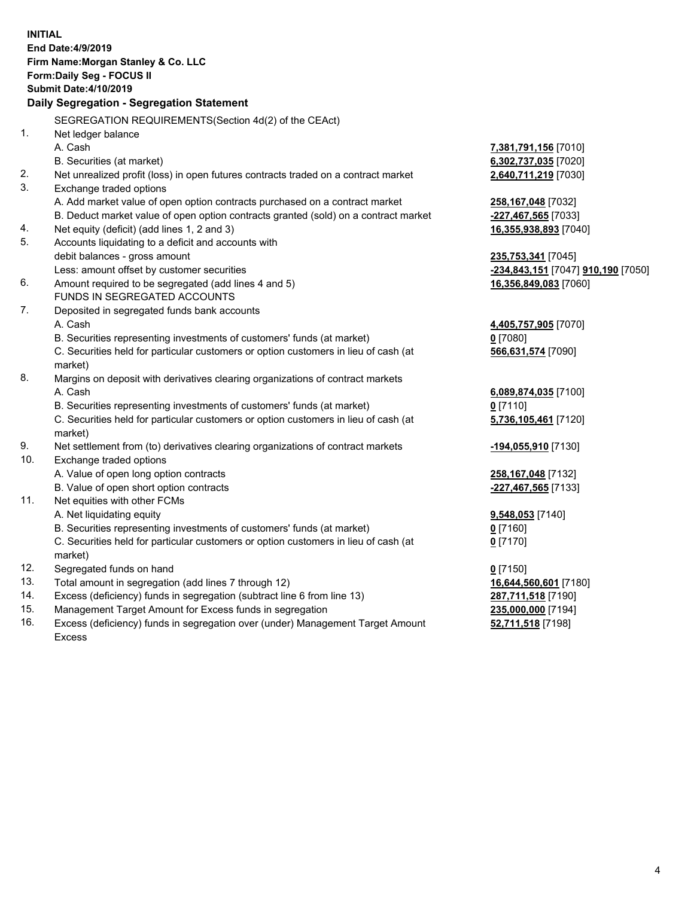|     | <b>INITIAL</b><br>End Date: 4/9/2019<br>Firm Name: Morgan Stanley & Co. LLC<br>Form: Daily Seg - FOCUS II<br><b>Submit Date: 4/10/2019</b><br>Daily Segregation - Segregation Statement |                                    |
|-----|-----------------------------------------------------------------------------------------------------------------------------------------------------------------------------------------|------------------------------------|
|     | SEGREGATION REQUIREMENTS(Section 4d(2) of the CEAct)                                                                                                                                    |                                    |
| 1.  | Net ledger balance                                                                                                                                                                      |                                    |
|     | A. Cash                                                                                                                                                                                 | 7,381,791,156 [7010]               |
|     | B. Securities (at market)                                                                                                                                                               | 6,302,737,035 [7020]               |
| 2.  | Net unrealized profit (loss) in open futures contracts traded on a contract market                                                                                                      | 2,640,711,219 [7030]               |
| 3.  | Exchange traded options                                                                                                                                                                 |                                    |
|     | A. Add market value of open option contracts purchased on a contract market                                                                                                             | 258,167,048 [7032]                 |
|     | B. Deduct market value of open option contracts granted (sold) on a contract market                                                                                                     | -227,467,565 [7033]                |
| 4.  | Net equity (deficit) (add lines 1, 2 and 3)                                                                                                                                             | 16,355,938,893 [7040]              |
| 5.  | Accounts liquidating to a deficit and accounts with                                                                                                                                     |                                    |
|     | debit balances - gross amount                                                                                                                                                           | 235,753,341 [7045]                 |
|     | Less: amount offset by customer securities                                                                                                                                              | -234,843,151 [7047] 910,190 [7050] |
| 6.  | Amount required to be segregated (add lines 4 and 5)                                                                                                                                    | 16,356,849,083 [7060]              |
|     | FUNDS IN SEGREGATED ACCOUNTS                                                                                                                                                            |                                    |
| 7.  | Deposited in segregated funds bank accounts                                                                                                                                             |                                    |
|     | A. Cash                                                                                                                                                                                 | 4,405,757,905 [7070]               |
|     | B. Securities representing investments of customers' funds (at market)                                                                                                                  | $0$ [7080]                         |
|     | C. Securities held for particular customers or option customers in lieu of cash (at                                                                                                     | 566,631,574 [7090]                 |
|     | market)                                                                                                                                                                                 |                                    |
| 8.  | Margins on deposit with derivatives clearing organizations of contract markets                                                                                                          |                                    |
|     | A. Cash                                                                                                                                                                                 | 6,089,874,035 [7100]               |
|     | B. Securities representing investments of customers' funds (at market)                                                                                                                  | 0 [7110]                           |
|     | C. Securities held for particular customers or option customers in lieu of cash (at<br>market)                                                                                          | 5,736,105,461 [7120]               |
| 9.  | Net settlement from (to) derivatives clearing organizations of contract markets                                                                                                         | -194,055,910 [7130]                |
| 10. | Exchange traded options                                                                                                                                                                 |                                    |
|     | A. Value of open long option contracts                                                                                                                                                  | 258,167,048 [7132]                 |
|     | B. Value of open short option contracts                                                                                                                                                 | -227,467,565 [7133]                |
| 11. | Net equities with other FCMs                                                                                                                                                            |                                    |
|     | A. Net liquidating equity                                                                                                                                                               | 9,548,053 [7140]                   |
|     | B. Securities representing investments of customers' funds (at market)                                                                                                                  | <u>0</u> [7160]                    |
|     | C. Securities held for particular customers or option customers in lieu of cash (at                                                                                                     | $0$ [7170]                         |
|     | market)                                                                                                                                                                                 |                                    |
| 12. | Segregated funds on hand                                                                                                                                                                | $0$ [7150]                         |
| 13. | Total amount in segregation (add lines 7 through 12)                                                                                                                                    | 16,644,560,601 [7180]              |
| 14. | Excess (deficiency) funds in segregation (subtract line 6 from line 13)                                                                                                                 | 287,711,518 [7190]                 |
| 15. | Management Target Amount for Excess funds in segregation                                                                                                                                | 235,000,000 [7194]                 |
| 16. | Excess (deficiency) funds in segregation over (under) Management Target Amount                                                                                                          | 52,711,518 [7198]                  |

16. Excess (deficiency) funds in segregation over (under) Management Target Amount Excess